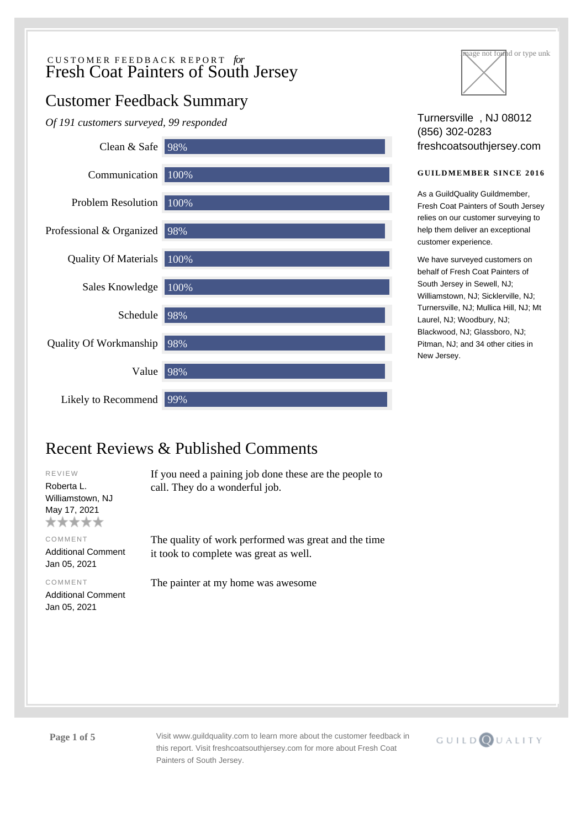## Customer Feedback Summary

*Of 191 customers surveyed, 99 responded*



# Ige not found or type unk

## Turnersville , NJ 08012 (856) 302-0283 freshcoatsouthjersey.com

### **GUILDMEMBER SINCE 2016**

As a GuildQuality Guildmember, Fresh Coat Painters of South Jersey relies on our customer surveying to help them deliver an exceptional customer experience.

We have surveyed customers on behalf of Fresh Coat Painters of South Jersey in Sewell, NJ; Williamstown, NJ; Sicklerville, NJ; Turnersville, NJ; Mullica Hill, NJ; Mt Laurel, NJ; Woodbury, NJ; Blackwood, NJ; Glassboro, NJ; Pitman, NJ; and 34 other cities in New Jersey.

## Recent Reviews & Published Comments

#### REVIEW

Roberta L. Williamstown, NJ May 17, 2021 \*\*\*\*\*

COMMENT

Additional Comment Jan 05, 2021

COMMENT

Additional Comment Jan 05, 2021

If you need a paining job done these are the people to call. They do a wonderful job.

The quality of work performed was great and the time it took to complete was great as well.

The painter at my home was awesome



**Page 1 of 5** Visit www.guildquality.com to learn more about the customer feedback in this report. Visit freshcoatsouthjersey.com for more about Fresh Coat Painters of South Jersey.

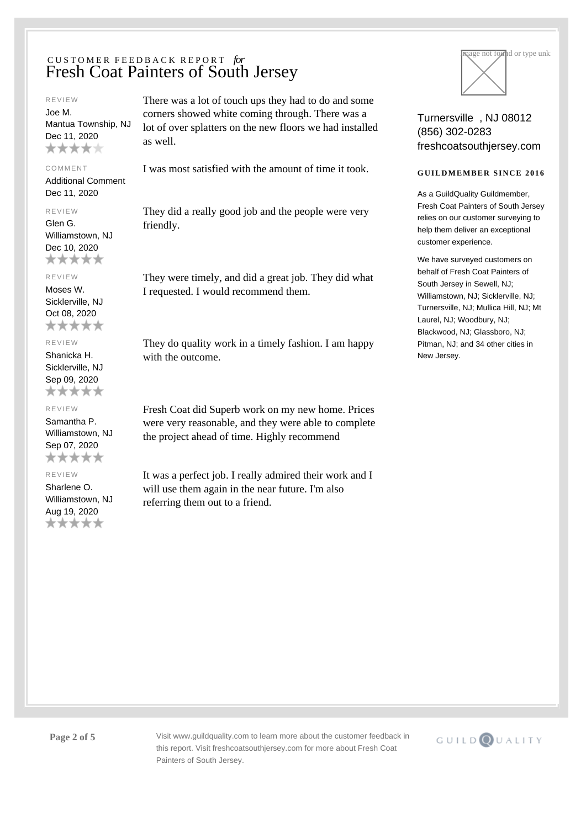#### REVIEW

Joe M. Mantua Township, NJ Dec 11, 2020 \*\*\*\*\*

#### COMMENT

Additional Comment Dec 11, 2020

#### REVIEW

Glen G. Williamstown, NJ Dec 10, 2020 \*\*\*\*\*

## REVIEW

Moses W. Sicklerville, NJ Oct 08, 2020 \*\*\*\*\*

REVIEW Shanicka H. Sicklerville, NJ Sep 09, 2020 \*\*\*\*\*

#### REVIEW

Samantha P. Williamstown, NJ Sep 07, 2020 \*\*\*\*\*

#### REVIEW

Sharlene O. Williamstown, NJ Aug 19, 2020 \*\*\*\*\*

There was a lot of touch ups they had to do and some corners showed white coming through. There was a lot of over splatters on the new floors we had installed as well.

I was most satisfied with the amount of time it took.

They did a really good job and the people were very friendly.

They were timely, and did a great job. They did what I requested. I would recommend them.

They do quality work in a timely fashion. I am happy with the outcome.

Fresh Coat did Superb work on my new home. Prices were very reasonable, and they were able to complete the project ahead of time. Highly recommend

It was a perfect job. I really admired their work and I will use them again in the near future. I'm also referring them out to a friend.



Turnersville , NJ 08012 (856) 302-0283 freshcoatsouthjersey.com

## **GUILDMEMBER SINCE 2016**

As a GuildQuality Guildmember, Fresh Coat Painters of South Jersey relies on our customer surveying to help them deliver an exceptional customer experience.

We have surveyed customers on behalf of Fresh Coat Painters of South Jersey in Sewell, NJ; Williamstown, NJ; Sicklerville, NJ; Turnersville, NJ; Mullica Hill, NJ; Mt Laurel, NJ; Woodbury, NJ; Blackwood, NJ; Glassboro, NJ; Pitman, NJ; and 34 other cities in New Jersey.

**Page 2 of 5** Visit www.guildquality.com to learn more about the customer feedback in this report. Visit freshcoatsouthjersey.com for more about Fresh Coat Painters of South Jersey.

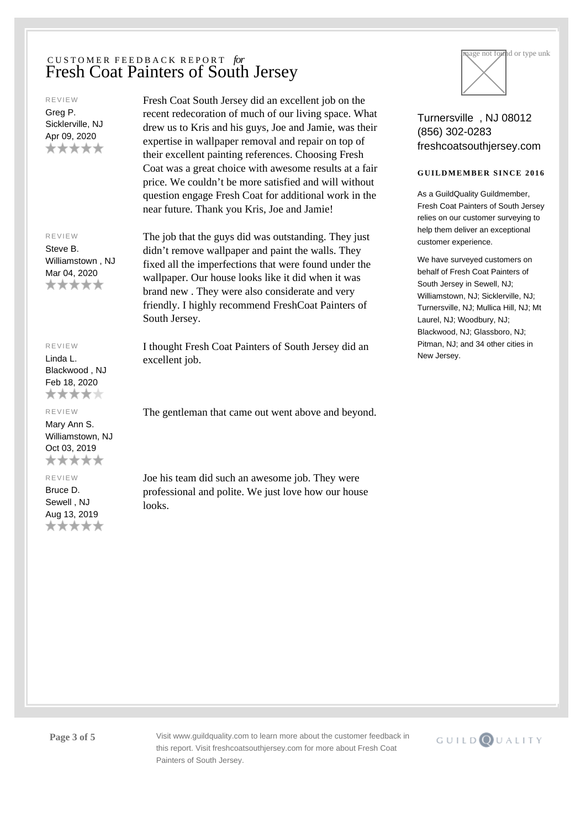#### REVIEW

Greg P. Sicklerville, NJ Apr 09, 2020 \*\*\*\*\*

#### REVIEW

Steve B. Williamstown , NJ Mar 04, 2020 \*\*\*\*\*

#### REVIEW

Linda L. Blackwood , NJ Feb 18, 2020 \*\*\*\*\*

REVIEW

Mary Ann S. Williamstown, NJ Oct 03, 2019 \*\*\*\*\*

#### REVIEW

Bruce D. Sewell , NJ Aug 13, 2019 \*\*\*\*\* Fresh Coat South Jersey did an excellent job on the recent redecoration of much of our living space. What drew us to Kris and his guys, Joe and Jamie, was their expertise in wallpaper removal and repair on top of their excellent painting references. Choosing Fresh Coat was a great choice with awesome results at a fair price. We couldn't be more satisfied and will without question engage Fresh Coat for additional work in the near future. Thank you Kris, Joe and Jamie!

The job that the guys did was outstanding. They just didn't remove wallpaper and paint the walls. They fixed all the imperfections that were found under the wallpaper. Our house looks like it did when it was brand new . They were also considerate and very friendly. I highly recommend FreshCoat Painters of South Jersey.

I thought Fresh Coat Painters of South Jersey did an excellent job.

The gentleman that came out went above and beyond.

Joe his team did such an awesome job. They were professional and polite. We just love how our house looks.



Turnersville , NJ 08012 (856) 302-0283 freshcoatsouthjersey.com

#### **GUILDMEMBER SINCE 2016**

As a GuildQuality Guildmember, Fresh Coat Painters of South Jersey relies on our customer surveying to help them deliver an exceptional customer experience.

We have surveyed customers on behalf of Fresh Coat Painters of South Jersey in Sewell, NJ; Williamstown, NJ; Sicklerville, NJ; Turnersville, NJ; Mullica Hill, NJ; Mt Laurel, NJ; Woodbury, NJ; Blackwood, NJ; Glassboro, NJ; Pitman, NJ; and 34 other cities in New Jersey.

**Page 3 of 5** Visit www.guildquality.com to learn more about the customer feedback in this report. Visit freshcoatsouthjersey.com for more about Fresh Coat Painters of South Jersey.

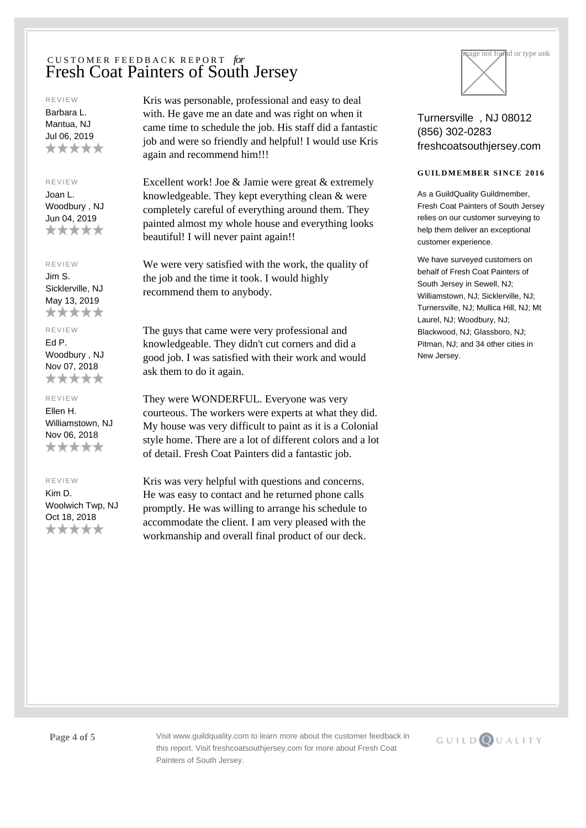#### REVIEW

Barbara L. Mantua, NJ Jul 06, 2019 \*\*\*\*\*

#### REVIEW

Joan L. Woodbury , NJ Jun 04, 2019 \*\*\*\*\*

#### REVIEW

Jim S. Sicklerville, NJ May 13, 2019 \*\*\*\*\*

## REVIEW

Ed P. Woodbury , NJ Nov 07, 2018 \*\*\*\*\*

## REVIEW

Ellen H. Williamstown, NJ Nov 06, 2018 \*\*\*\*\*

#### REVIEW

Kim D. Woolwich Twp, NJ Oct 18, 2018 \*\*\*\*\*

Kris was personable, professional and easy to deal with. He gave me an date and was right on when it came time to schedule the job. His staff did a fantastic job and were so friendly and helpful! I would use Kris again and recommend him!!!

Excellent work! Joe & Jamie were great & extremely knowledgeable. They kept everything clean & were completely careful of everything around them. They painted almost my whole house and everything looks beautiful! I will never paint again!!

We were very satisfied with the work, the quality of the job and the time it took. I would highly recommend them to anybody.

The guys that came were very professional and knowledgeable. They didn't cut corners and did a good job. I was satisfied with their work and would ask them to do it again.

They were WONDERFUL. Everyone was very courteous. The workers were experts at what they did. My house was very difficult to paint as it is a Colonial style home. There are a lot of different colors and a lot of detail. Fresh Coat Painters did a fantastic job.

Kris was very helpful with questions and concerns. He was easy to contact and he returned phone calls promptly. He was willing to arrange his schedule to accommodate the client. I am very pleased with the workmanship and overall final product of our deck.



Turnersville , NJ 08012 (856) 302-0283 freshcoatsouthjersey.com

#### **GUILDMEMBER SINCE 2016**

As a GuildQuality Guildmember, Fresh Coat Painters of South Jersey relies on our customer surveying to help them deliver an exceptional customer experience.

We have surveyed customers on behalf of Fresh Coat Painters of South Jersey in Sewell, NJ; Williamstown, NJ; Sicklerville, NJ; Turnersville, NJ; Mullica Hill, NJ; Mt Laurel, NJ; Woodbury, NJ; Blackwood, NJ; Glassboro, NJ; Pitman, NJ; and 34 other cities in New Jersey.

**Page 4 of 5** Visit www.guildquality.com to learn more about the customer feedback in this report. Visit freshcoatsouthjersey.com for more about Fresh Coat Painters of South Jersey.